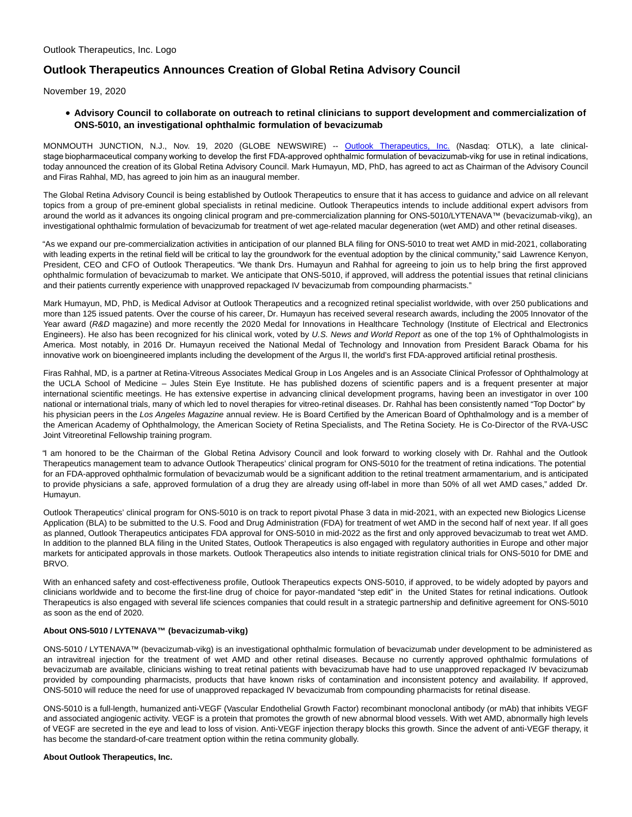# **Outlook Therapeutics Announces Creation of Global Retina Advisory Council**

November 19, 2020

## **Advisory Council to collaborate on outreach to retinal clinicians to support development and commercialization of ONS-5010, an investigational ophthalmic formulation of bevacizumab**

MONMOUTH JUNCTION, N.J., Nov. 19, 2020 (GLOBE NEWSWIRE) -- [Outlook Therapeutics, Inc.](https://www.globenewswire.com/Tracker?data=LKHJWLlc5Ea4OKz_7idkOsnhxZpvGBr5lP_O8To3eeSylAwDM8T7AS-QgqRGWJOxsvBzKuPF53qReASXwhNq9xn4rNqtFZ_VAfaDtVsQtsY=) (Nasdaq: OTLK), a late clinicalstage biopharmaceutical company working to develop the first FDA-approved ophthalmic formulation of bevacizumab-vikg for use in retinal indications, today announced the creation of its Global Retina Advisory Council. Mark Humayun, MD, PhD, has agreed to act as Chairman of the Advisory Council and Firas Rahhal, MD, has agreed to join him as an inaugural member.

The Global Retina Advisory Council is being established by Outlook Therapeutics to ensure that it has access to guidance and advice on all relevant topics from a group of pre-eminent global specialists in retinal medicine. Outlook Therapeutics intends to include additional expert advisors from around the world as it advances its ongoing clinical program and pre-commercialization planning for ONS-5010/LYTENAVA™ (bevacizumab-vikg), an investigational ophthalmic formulation of bevacizumab for treatment of wet age-related macular degeneration (wet AMD) and other retinal diseases.

"As we expand our pre-commercialization activities in anticipation of our planned BLA filing for ONS-5010 to treat wet AMD in mid-2021, collaborating with leading experts in the retinal field will be critical to lay the groundwork for the eventual adoption by the clinical community," said Lawrence Kenyon, President, CEO and CFO of Outlook Therapeutics. "We thank Drs. Humayun and Rahhal for agreeing to join us to help bring the first approved ophthalmic formulation of bevacizumab to market. We anticipate that ONS-5010, if approved, will address the potential issues that retinal clinicians and their patients currently experience with unapproved repackaged IV bevacizumab from compounding pharmacists."

Mark Humayun, MD, PhD, is Medical Advisor at Outlook Therapeutics and a recognized retinal specialist worldwide, with over 250 publications and more than 125 issued patents. Over the course of his career, Dr. Humayun has received several research awards, including the 2005 Innovator of the Year award (R&D magazine) and more recently the 2020 Medal for Innovations in Healthcare Technology (Institute of Electrical and Electronics Engineers). He also has been recognized for his clinical work, voted by U.S. News and World Report as one of the top 1% of Ophthalmologists in America. Most notably, in 2016 Dr. Humayun received the National Medal of Technology and Innovation from President Barack Obama for his innovative work on bioengineered implants including the development of the Argus II, the world's first FDA-approved artificial retinal prosthesis.

Firas Rahhal, MD, is a partner at Retina-Vitreous Associates Medical Group in Los Angeles and is an Associate Clinical Professor of Ophthalmology at the UCLA School of Medicine – Jules Stein Eye Institute. He has published dozens of scientific papers and is a frequent presenter at major international scientific meetings. He has extensive expertise in advancing clinical development programs, having been an investigator in over 100 national or international trials, many of which led to novel therapies for vitreo-retinal diseases. Dr. Rahhal has been consistently named "Top Doctor" by his physician peers in the Los Angeles Magazine annual review. He is Board Certified by the American Board of Ophthalmology and is a member of the American Academy of Ophthalmology, the American Society of Retina Specialists, and The Retina Society. He is Co-Director of the RVA-USC Joint Vitreoretinal Fellowship training program.

"I am honored to be the Chairman of the Global Retina Advisory Council and look forward to working closely with Dr. Rahhal and the Outlook Therapeutics management team to advance Outlook Therapeutics' clinical program for ONS-5010 for the treatment of retina indications. The potential for an FDA-approved ophthalmic formulation of bevacizumab would be a significant addition to the retinal treatment armamentarium, and is anticipated to provide physicians a safe, approved formulation of a drug they are already using off-label in more than 50% of all wet AMD cases," added Dr. Humayun.

Outlook Therapeutics' clinical program for ONS-5010 is on track to report pivotal Phase 3 data in mid-2021, with an expected new Biologics License Application (BLA) to be submitted to the U.S. Food and Drug Administration (FDA) for treatment of wet AMD in the second half of next year. If all goes as planned, Outlook Therapeutics anticipates FDA approval for ONS-5010 in mid-2022 as the first and only approved bevacizumab to treat wet AMD. In addition to the planned BLA filing in the United States, Outlook Therapeutics is also engaged with regulatory authorities in Europe and other major markets for anticipated approvals in those markets. Outlook Therapeutics also intends to initiate registration clinical trials for ONS-5010 for DME and BRVO.

With an enhanced safety and cost-effectiveness profile, Outlook Therapeutics expects ONS-5010, if approved, to be widely adopted by payors and clinicians worldwide and to become the first-line drug of choice for payor-mandated "step edit" in the United States for retinal indications. Outlook Therapeutics is also engaged with several life sciences companies that could result in a strategic partnership and definitive agreement for ONS-5010 as soon as the end of 2020.

## **About ONS-5010 / LYTENAVA™ (bevacizumab-vikg)**

ONS-5010 / LYTENAVA™ (bevacizumab-vikg) is an investigational ophthalmic formulation of bevacizumab under development to be administered as an intravitreal injection for the treatment of wet AMD and other retinal diseases. Because no currently approved ophthalmic formulations of bevacizumab are available, clinicians wishing to treat retinal patients with bevacizumab have had to use unapproved repackaged IV bevacizumab provided by compounding pharmacists, products that have known risks of contamination and inconsistent potency and availability. If approved, ONS-5010 will reduce the need for use of unapproved repackaged IV bevacizumab from compounding pharmacists for retinal disease.

ONS-5010 is a full-length, humanized anti-VEGF (Vascular Endothelial Growth Factor) recombinant monoclonal antibody (or mAb) that inhibits VEGF and associated angiogenic activity. VEGF is a protein that promotes the growth of new abnormal blood vessels. With wet AMD, abnormally high levels of VEGF are secreted in the eye and lead to loss of vision. Anti-VEGF injection therapy blocks this growth. Since the advent of anti-VEGF therapy, it has become the standard-of-care treatment option within the retina community globally.

#### **About Outlook Therapeutics, Inc.**